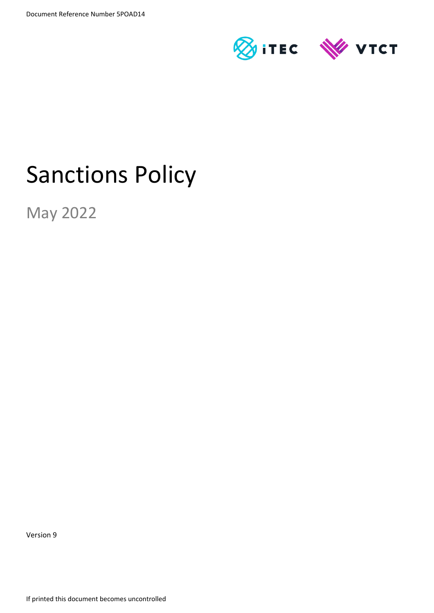

# Sanctions Policy

May 2022

Version 9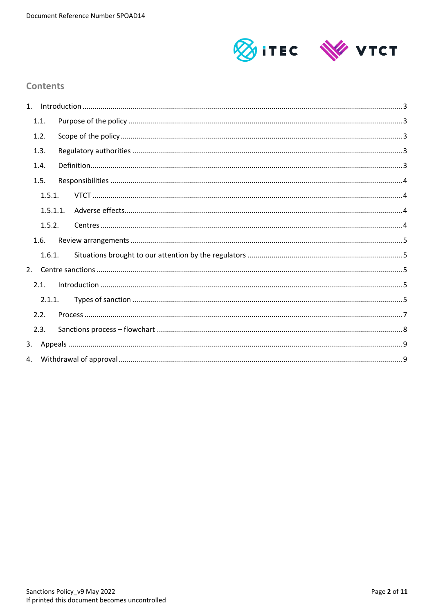

## **Contents**

|    | 1.1.     |  |
|----|----------|--|
|    | 1.2.     |  |
|    | 1.3.     |  |
|    | 1.4.     |  |
|    | 1.5.     |  |
|    | 1.5.1.   |  |
|    | 1.5.1.1. |  |
|    | 1.5.2.   |  |
|    | 1.6.     |  |
|    | 1.6.1.   |  |
|    |          |  |
|    | 2.1.     |  |
|    | 2.1.1.   |  |
|    | 2.2.     |  |
|    | 2.3.     |  |
| 3. |          |  |
|    |          |  |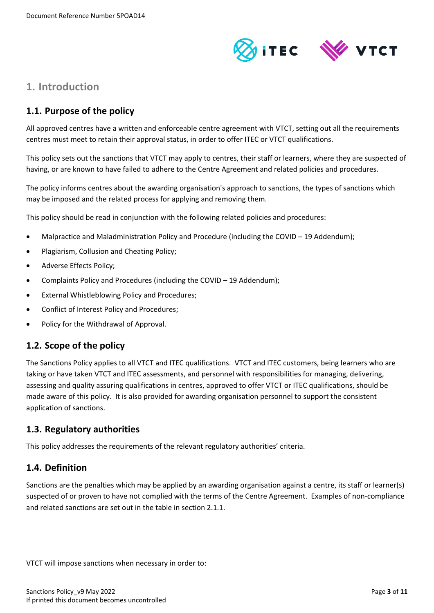

# <span id="page-2-0"></span>**1. Introduction**

# <span id="page-2-1"></span>**1.1. Purpose of the policy**

All approved centres have a written and enforceable centre agreement with VTCT, setting out all the requirements centres must meet to retain their approval status, in order to offer ITEC or VTCT qualifications.

This policy sets out the sanctions that VTCT may apply to centres, their staff or learners, where they are suspected of having, or are known to have failed to adhere to the Centre Agreement and related policies and procedures.

The policy informs centres about the awarding organisation's approach to sanctions, the types of sanctions which may be imposed and the related process for applying and removing them.

This policy should be read in conjunction with the following related policies and procedures:

- Malpractice and Maladministration Policy and Procedure (including the COVID 19 Addendum);
- Plagiarism, Collusion and Cheating Policy;
- Adverse Effects Policy;
- Complaints Policy and Procedures (including the COVID 19 Addendum);
- External Whistleblowing Policy and Procedures;
- Conflict of Interest Policy and Procedures;
- Policy for the Withdrawal of Approval.

## <span id="page-2-2"></span>**1.2. Scope of the policy**

The Sanctions Policy applies to all VTCT and ITEC qualifications. VTCT and ITEC customers, being learners who are taking or have taken VTCT and ITEC assessments, and personnel with responsibilities for managing, delivering, assessing and quality assuring qualifications in centres, approved to offer VTCT or ITEC qualifications, should be made aware of this policy. It is also provided for awarding organisation personnel to support the consistent application of sanctions.

## <span id="page-2-3"></span>**1.3. Regulatory authorities**

This policy addresses the requirements of the relevant regulatory authorities' criteria.

## <span id="page-2-4"></span>**1.4. Definition**

Sanctions are the penalties which may be applied by an awarding organisation against a centre, its staff or learner(s) suspected of or proven to have not complied with the terms of the Centre Agreement. Examples of non-compliance and related sanctions are set out in the table in section 2.1.1.

VTCT will impose sanctions when necessary in order to: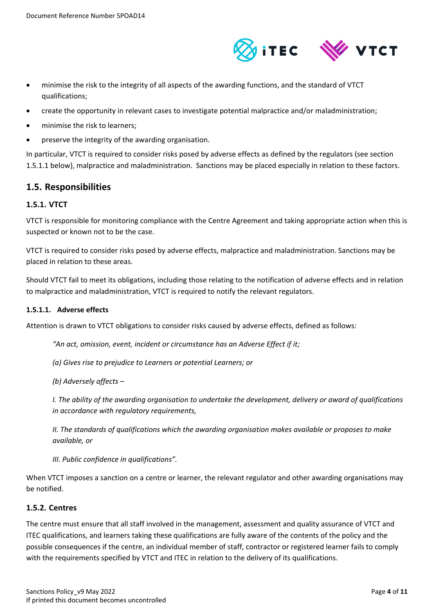

- minimise the risk to the integrity of all aspects of the awarding functions, and the standard of VTCT qualifications;
- create the opportunity in relevant cases to investigate potential malpractice and/or maladministration;
- minimise the risk to learners;
- preserve the integrity of the awarding organisation.

In particular, VTCT is required to consider risks posed by adverse effects as defined by the regulators (see section 1.5.1.1 below), malpractice and maladministration. Sanctions may be placed especially in relation to these factors.

## <span id="page-3-0"></span>**1.5. Responsibilities**

#### <span id="page-3-1"></span>**1.5.1. VTCT**

VTCT is responsible for monitoring compliance with the Centre Agreement and taking appropriate action when this is suspected or known not to be the case.

VTCT is required to consider risks posed by adverse effects, malpractice and maladministration. Sanctions may be placed in relation to these areas.

Should VTCT fail to meet its obligations, including those relating to the notification of adverse effects and in relation to malpractice and maladministration, VTCT is required to notify the relevant regulators.

#### <span id="page-3-2"></span>**1.5.1.1. Adverse effects**

Attention is drawn to VTCT obligations to consider risks caused by adverse effects, defined as follows:

*"An act, omission, event, incident or circumstance has an Adverse Effect if it;*

*(a) Gives rise to prejudice to Learners or potential Learners; or*

*(b) Adversely affects –*

*I. The ability of the awarding organisation to undertake the development, delivery or award of qualifications in accordance with regulatory requirements,*

*II. The standards of qualifications which the awarding organisation makes available or proposes to make available, or*

*III. Public confidence in qualifications".*

When VTCT imposes a sanction on a centre or learner, the relevant regulator and other awarding organisations may be notified.

#### <span id="page-3-3"></span>**1.5.2. Centres**

The centre must ensure that all staff involved in the management, assessment and quality assurance of VTCT and ITEC qualifications, and learners taking these qualifications are fully aware of the contents of the policy and the possible consequences if the centre, an individual member of staff, contractor or registered learner fails to comply with the requirements specified by VTCT and ITEC in relation to the delivery of its qualifications.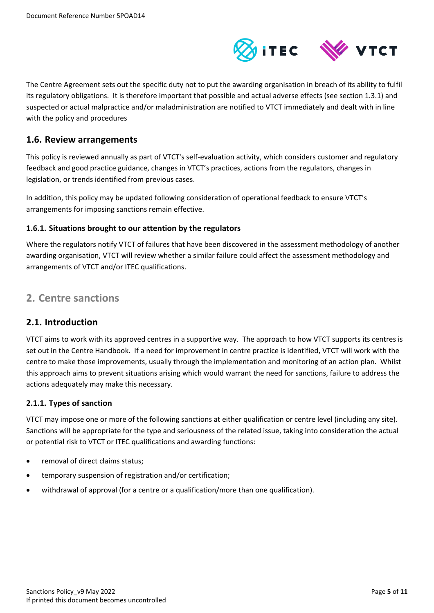

The Centre Agreement sets out the specific duty not to put the awarding organisation in breach of its ability to fulfil its regulatory obligations. It is therefore important that possible and actual adverse effects (see section 1.3.1) and suspected or actual malpractice and/or maladministration are notified to VTCT immediately and dealt with in line with the policy and procedures

## <span id="page-4-0"></span>**1.6. Review arrangements**

This policy is reviewed annually as part of VTCT's self-evaluation activity, which considers customer and regulatory feedback and good practice guidance, changes in VTCT's practices, actions from the regulators, changes in legislation, or trends identified from previous cases.

In addition, this policy may be updated following consideration of operational feedback to ensure VTCT's arrangements for imposing sanctions remain effective.

### <span id="page-4-1"></span>**1.6.1. Situations brought to our attention by the regulators**

Where the regulators notify VTCT of failures that have been discovered in the assessment methodology of another awarding organisation, VTCT will review whether a similar failure could affect the assessment methodology and arrangements of VTCT and/or ITEC qualifications.

# <span id="page-4-2"></span>**2. Centre sanctions**

## <span id="page-4-3"></span>**2.1. Introduction**

VTCT aims to work with its approved centres in a supportive way. The approach to how VTCT supports its centres is set out in the Centre Handbook. If a need for improvement in centre practice is identified, VTCT will work with the centre to make those improvements, usually through the implementation and monitoring of an action plan. Whilst this approach aims to prevent situations arising which would warrant the need for sanctions, failure to address the actions adequately may make this necessary.

## <span id="page-4-4"></span>**2.1.1. Types of sanction**

VTCT may impose one or more of the following sanctions at either qualification or centre level (including any site). Sanctions will be appropriate for the type and seriousness of the related issue, taking into consideration the actual or potential risk to VTCT or ITEC qualifications and awarding functions:

- removal of direct claims status;
- temporary suspension of registration and/or certification;
- withdrawal of approval (for a centre or a qualification/more than one qualification).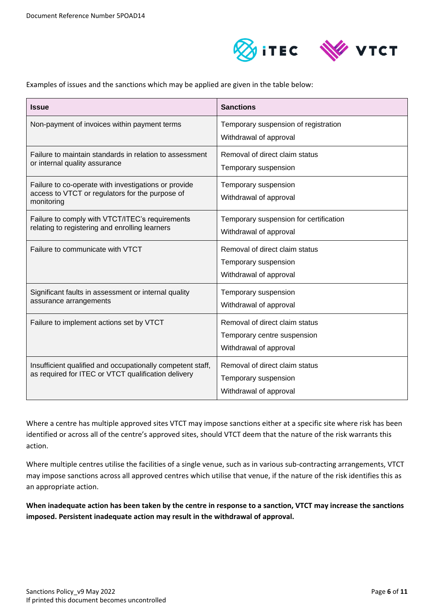

Examples of issues and the sanctions which may be applied are given in the table below:

| <b>Issue</b>                                                                                                          | <b>Sanctions</b>                                                                        |
|-----------------------------------------------------------------------------------------------------------------------|-----------------------------------------------------------------------------------------|
| Non-payment of invoices within payment terms                                                                          | Temporary suspension of registration<br>Withdrawal of approval                          |
| Failure to maintain standards in relation to assessment<br>or internal quality assurance                              | Removal of direct claim status<br>Temporary suspension                                  |
| Failure to co-operate with investigations or provide<br>access to VTCT or regulators for the purpose of<br>monitoring | Temporary suspension<br>Withdrawal of approval                                          |
| Failure to comply with VTCT/ITEC's requirements<br>relating to registering and enrolling learners                     | Temporary suspension for certification<br>Withdrawal of approval                        |
| Failure to communicate with VTCT                                                                                      | Removal of direct claim status<br>Temporary suspension<br>Withdrawal of approval        |
| Significant faults in assessment or internal quality<br>assurance arrangements                                        | Temporary suspension<br>Withdrawal of approval                                          |
| Failure to implement actions set by VTCT                                                                              | Removal of direct claim status<br>Temporary centre suspension<br>Withdrawal of approval |
| Insufficient qualified and occupationally competent staff,<br>as required for ITEC or VTCT qualification delivery     | Removal of direct claim status<br>Temporary suspension<br>Withdrawal of approval        |

Where a centre has multiple approved sites VTCT may impose sanctions either at a specific site where risk has been identified or across all of the centre's approved sites, should VTCT deem that the nature of the risk warrants this action.

Where multiple centres utilise the facilities of a single venue, such as in various sub-contracting arrangements, VTCT may impose sanctions across all approved centres which utilise that venue, if the nature of the risk identifies this as an appropriate action.

**When inadequate action has been taken by the centre in response to a sanction, VTCT may increase the sanctions imposed. Persistent inadequate action may result in the withdrawal of approval.**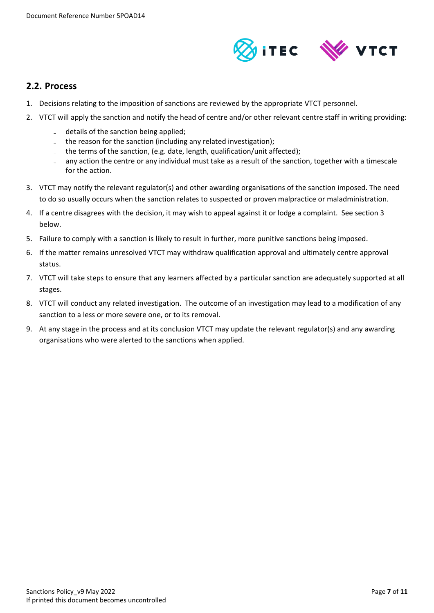

## <span id="page-6-0"></span>**2.2. Process**

- 1. Decisions relating to the imposition of sanctions are reviewed by the appropriate VTCT personnel.
- 2. VTCT will apply the sanction and notify the head of centre and/or other relevant centre staff in writing providing:
	- details of the sanction being applied;
	- the reason for the sanction (including any related investigation);
	- the terms of the sanction, (e.g. date, length, qualification/unit affected);
	- any action the centre or any individual must take as a result of the sanction, together with a timescale for the action.
- 3. VTCT may notify the relevant regulator(s) and other awarding organisations of the sanction imposed. The need to do so usually occurs when the sanction relates to suspected or proven malpractice or maladministration.
- 4. If a centre disagrees with the decision, it may wish to appeal against it or lodge a complaint. See section 3 below.
- 5. Failure to comply with a sanction is likely to result in further, more punitive sanctions being imposed.
- 6. If the matter remains unresolved VTCT may withdraw qualification approval and ultimately centre approval status.
- 7. VTCT will take steps to ensure that any learners affected by a particular sanction are adequately supported at all stages.
- 8. VTCT will conduct any related investigation. The outcome of an investigation may lead to a modification of any sanction to a less or more severe one, or to its removal.
- 9. At any stage in the process and at its conclusion VTCT may update the relevant regulator(s) and any awarding organisations who were alerted to the sanctions when applied.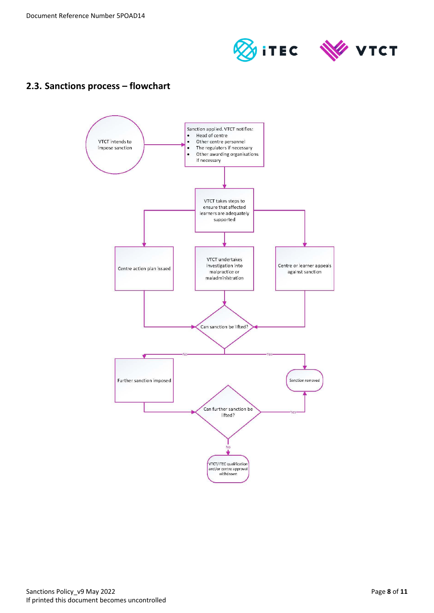

# <span id="page-7-0"></span>**2.3. Sanctions process – flowchart**

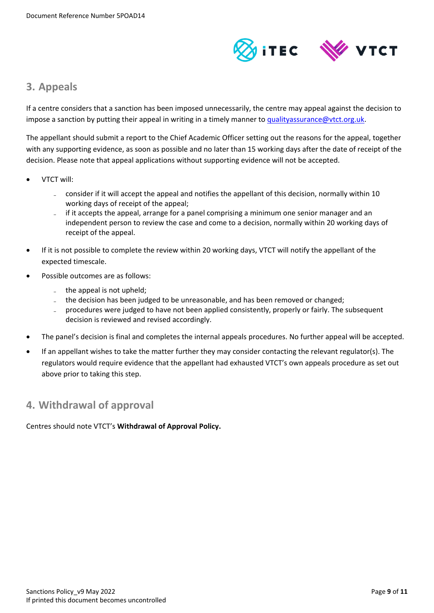

# <span id="page-8-0"></span>**3. Appeals**

If a centre considers that a sanction has been imposed unnecessarily, the centre may appeal against the decision to impose a sanction by putting their appeal in writing in a timely manner t[o qualityassurance@vtct.org.uk.](mailto:qualityassurance@vtct.org.uk)

The appellant should submit a report to the Chief Academic Officer setting out the reasons for the appeal, together with any supporting evidence, as soon as possible and no later than 15 working days after the date of receipt of the decision. Please note that appeal applications without supporting evidence will not be accepted.

- VTCT will:
	- consider if it will accept the appeal and notifies the appellant of this decision, normally within 10 working days of receipt of the appeal;
	- if it accepts the appeal, arrange for a panel comprising a minimum one senior manager and an independent person to review the case and come to a decision, normally within 20 working days of receipt of the appeal.
- If it is not possible to complete the review within 20 working days, VTCT will notify the appellant of the expected timescale.
- Possible outcomes are as follows:
	- $-$  the appeal is not upheld:
	- the decision has been judged to be unreasonable, and has been removed or changed;
	- procedures were judged to have not been applied consistently, properly or fairly. The subsequent decision is reviewed and revised accordingly.
- The panel's decision is final and completes the internal appeals procedures. No further appeal will be accepted.
- If an appellant wishes to take the matter further they may consider contacting the relevant regulator(s). The regulators would require evidence that the appellant had exhausted VTCT's own appeals procedure as set out above prior to taking this step.

# <span id="page-8-1"></span>**4. Withdrawal of approval**

Centres should note VTCT's **Withdrawal of Approval Policy.**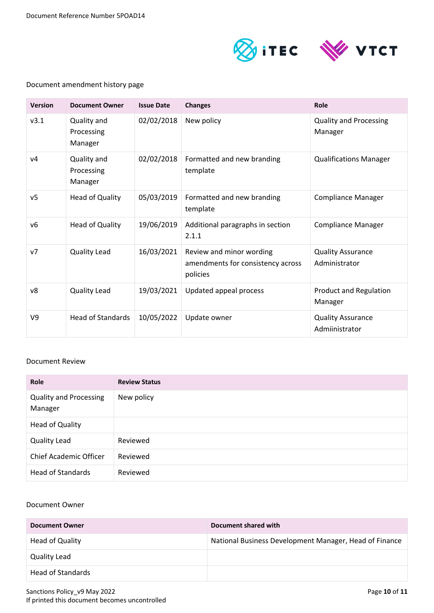

## Document amendment history page

| <b>Version</b> | <b>Document Owner</b>                | <b>Issue Date</b> | <b>Changes</b>                                                            | Role                                       |
|----------------|--------------------------------------|-------------------|---------------------------------------------------------------------------|--------------------------------------------|
| v3.1           | Quality and<br>Processing<br>Manager | 02/02/2018        | New policy                                                                | <b>Quality and Processing</b><br>Manager   |
| V <sub>4</sub> | Quality and<br>Processing<br>Manager | 02/02/2018        | Formatted and new branding<br>template                                    | <b>Qualifications Manager</b>              |
| v <sub>5</sub> | Head of Quality                      | 05/03/2019        | Formatted and new branding<br>template                                    | <b>Compliance Manager</b>                  |
| v6             | Head of Quality                      | 19/06/2019        | Additional paragraphs in section<br>2.1.1                                 | <b>Compliance Manager</b>                  |
| v7             | Quality Lead                         | 16/03/2021        | Review and minor wording<br>amendments for consistency across<br>policies | <b>Quality Assurance</b><br>Administrator  |
| v8             | <b>Quality Lead</b>                  | 19/03/2021        | Updated appeal process                                                    | <b>Product and Regulation</b><br>Manager   |
| V <sub>9</sub> | <b>Head of Standards</b>             | 10/05/2022        | Update owner                                                              | <b>Quality Assurance</b><br>Admiinistrator |

#### Document Review

| <b>Role</b>                              | <b>Review Status</b> |
|------------------------------------------|----------------------|
| <b>Quality and Processing</b><br>Manager | New policy           |
| <b>Head of Quality</b>                   |                      |
| Quality Lead                             | Reviewed             |
| <b>Chief Academic Officer</b>            | Reviewed             |
| <b>Head of Standards</b>                 | Reviewed             |

#### Document Owner

| <b>Document Owner</b> | Document shared with                                   |
|-----------------------|--------------------------------------------------------|
| Head of Quality       | National Business Development Manager, Head of Finance |
| <b>Quality Lead</b>   |                                                        |
| Head of Standards     |                                                        |